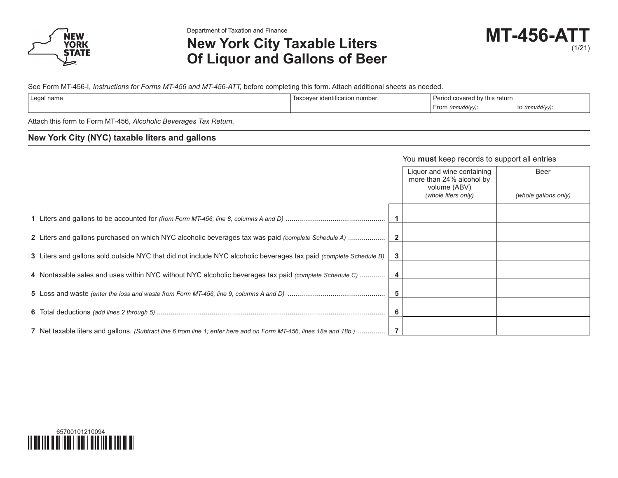

Department of Taxation and Finance

# **New York City Taxable Liters Of Liquor and Gallons of Beer**

See Form MT-456-I, *Instructions for Forms MT-456 and MT-456-ATT,* before completing this form. Attach additional sheets as needed.

| Legal name | ∵identification number<br>Taxr | <b>Dorion</b><br>t covered by this return<br>cuu |             |  |
|------------|--------------------------------|--------------------------------------------------|-------------|--|
|            |                                | (mm/dd/yy):<br>From                              | (mm/dd/yy). |  |
|            |                                |                                                  |             |  |

Attach this form to Form MT-456, *Alcoholic Beverages Tax Return.*

### **New York City (NYC) taxable liters and gallons**

#### You **must** keep records to support all entries

|                                                                                                                    |   | Liquor and wine containing<br>more than 24% alcohol by<br>volume (ABV)<br>(whole liters only) | Beer<br>(whole gallons only) |
|--------------------------------------------------------------------------------------------------------------------|---|-----------------------------------------------------------------------------------------------|------------------------------|
|                                                                                                                    |   |                                                                                               |                              |
|                                                                                                                    |   |                                                                                               |                              |
|                                                                                                                    |   |                                                                                               |                              |
|                                                                                                                    |   |                                                                                               |                              |
| 3 Liters and gallons sold outside NYC that did not include NYC alcoholic beverages tax paid (complete Schedule B)  |   |                                                                                               |                              |
| 4 Nontaxable sales and uses within NYC without NYC alcoholic beverages tax paid (complete Schedule C)              |   |                                                                                               |                              |
|                                                                                                                    | 5 |                                                                                               |                              |
|                                                                                                                    |   |                                                                                               |                              |
|                                                                                                                    |   |                                                                                               |                              |
| 7 Net taxable liters and gallons. (Subtract line 6 from line 1; enter here and on Form MT-456, lines 18a and 18b.) |   |                                                                                               |                              |

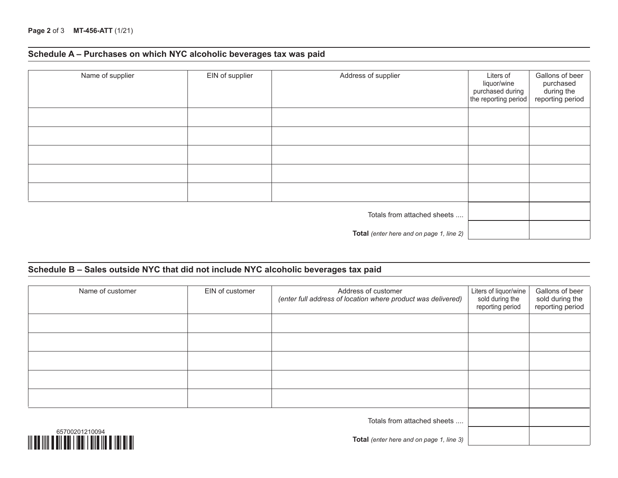# **Schedule A – Purchases on which NYC alcoholic beverages tax was paid**

| Name of supplier            | EIN of supplier | Address of supplier                      | Liters of<br>liquor/wine<br>purchased during<br>the reporting period | Gallons of beer<br>purchased<br>during the<br>reporting period |
|-----------------------------|-----------------|------------------------------------------|----------------------------------------------------------------------|----------------------------------------------------------------|
|                             |                 |                                          |                                                                      |                                                                |
|                             |                 |                                          |                                                                      |                                                                |
|                             |                 |                                          |                                                                      |                                                                |
|                             |                 |                                          |                                                                      |                                                                |
|                             |                 |                                          |                                                                      |                                                                |
| Totals from attached sheets |                 |                                          |                                                                      |                                                                |
|                             |                 | Total (enter here and on page 1, line 2) |                                                                      |                                                                |

### **Schedule B – Sales outside NYC that did not include NYC alcoholic beverages tax paid**

| Name of customer                                                                 | EIN of customer | Address of customer<br>(enter full address of location where product was delivered) | Liters of liquor/wine<br>sold during the<br>reporting period | Gallons of beer<br>sold during the<br>reporting period |
|----------------------------------------------------------------------------------|-----------------|-------------------------------------------------------------------------------------|--------------------------------------------------------------|--------------------------------------------------------|
|                                                                                  |                 |                                                                                     |                                                              |                                                        |
|                                                                                  |                 |                                                                                     |                                                              |                                                        |
|                                                                                  |                 |                                                                                     |                                                              |                                                        |
|                                                                                  |                 |                                                                                     |                                                              |                                                        |
|                                                                                  |                 |                                                                                     |                                                              |                                                        |
| Totals from attached sheets                                                      |                 |                                                                                     |                                                              |                                                        |
| 65700201210094<br><u> 111 AN 11111 A BIT ANT I THAT I BITA THA A THEI BI AT </u> |                 | Total (enter here and on page 1, line 3)                                            |                                                              |                                                        |